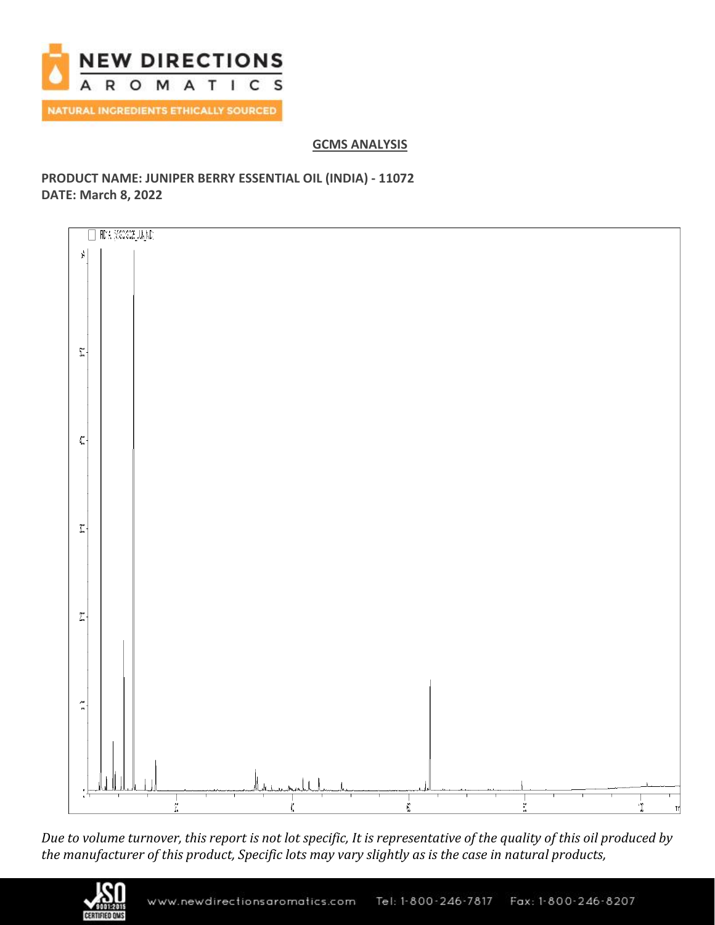

# **GCMS ANALYSIS**

# **PRODUCT NAME: JUNIPER BERRY ESSENTIAL OIL (INDIA) - 11072 DATE: March 8, 2022**



*Due to volume turnover, this report is not lot specific, It is representative of the quality of this oil produced by the manufacturer of this product, Specific lots may vary slightly as is the case in natural products,*

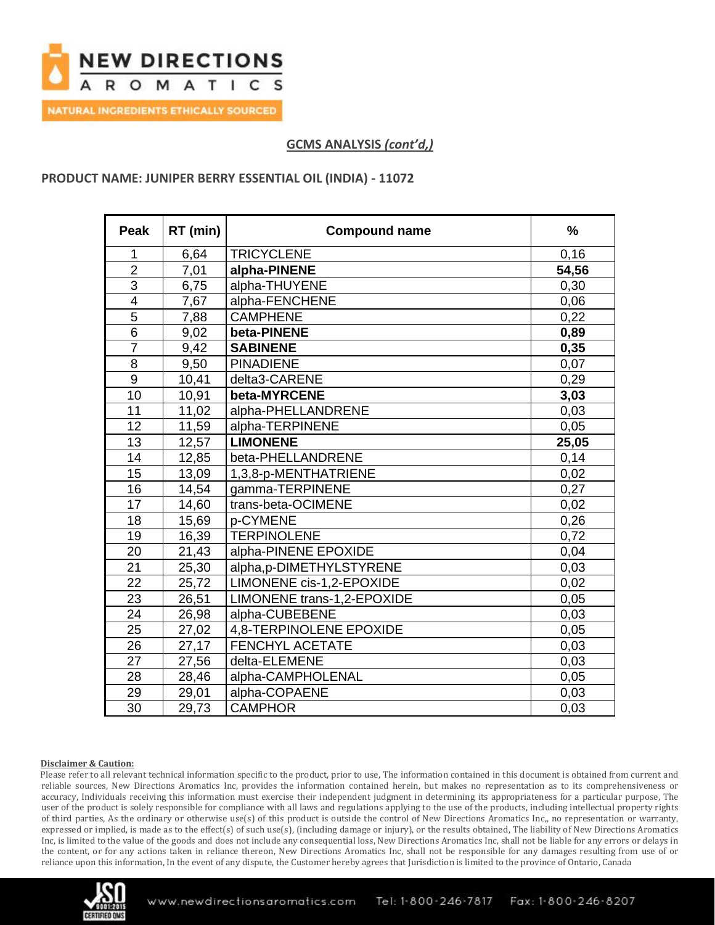

# **PRODUCT NAME: JUNIPER BERRY ESSENTIAL OIL (INDIA) - 11072**

| <b>Peak</b>    | RT (min) | <b>Compound name</b>       | $\frac{0}{0}$ |
|----------------|----------|----------------------------|---------------|
| 1              | 6,64     | <b>TRICYCLENE</b>          | 0,16          |
| $\overline{2}$ | 7,01     | alpha-PINENE               | 54,56         |
| $\overline{3}$ | 6,75     | alpha-THUYENE              | 0,30          |
| $\overline{4}$ | 7,67     | alpha-FENCHENE             | 0,06          |
| $\overline{5}$ | 7,88     | <b>CAMPHENE</b>            | 0,22          |
| $6\phantom{1}$ | 9,02     | beta-PINENE                | 0,89          |
| $\overline{7}$ | 9,42     | <b>SABINENE</b>            | 0,35          |
| $\overline{8}$ | 9,50     | <b>PINADIENE</b>           | 0,07          |
| $9$            | 10,41    | delta3-CARENE              | 0,29          |
| 10             | 10,91    | beta-MYRCENE               | 3,03          |
| 11             | 11,02    | alpha-PHELLANDRENE         | 0,03          |
| 12             | 11,59    | alpha-TERPINENE            | 0,05          |
| 13             | 12,57    | <b>LIMONENE</b>            | 25,05         |
| 14             | 12,85    | beta-PHELLANDRENE          | 0,14          |
| 15             | 13,09    | 1,3,8-p-MENTHATRIENE       | 0,02          |
| 16             | 14,54    | gamma-TERPINENE            | 0,27          |
| 17             | 14,60    | trans-beta-OCIMENE         | 0,02          |
| 18             | 15,69    | p-CYMENE                   | 0,26          |
| 19             | 16,39    | <b>TERPINOLENE</b>         | 0,72          |
| 20             | 21,43    | alpha-PINENE EPOXIDE       | 0.04          |
| 21             | 25,30    | alpha,p-DIMETHYLSTYRENE    | 0,03          |
| 22             | 25,72    | LIMONENE cis-1,2-EPOXIDE   | 0,02          |
| 23             | 26,51    | LIMONENE trans-1,2-EPOXIDE | 0,05          |
| 24             | 26,98    | alpha-CUBEBENE             | 0,03          |
| 25             | 27,02    | 4,8-TERPINOLENE EPOXIDE    | 0,05          |
| 26             | 27,17    | <b>FENCHYL ACETATE</b>     | 0,03          |
| 27             | 27,56    | delta-ELEMENE              | 0,03          |
| 28             | 28,46    | alpha-CAMPHOLENAL          | 0,05          |
| 29             | 29,01    | alpha-COPAENE              | 0,03          |
| 30             | 29,73    | <b>CAMPHOR</b>             | 0,03          |

### **Disclaimer & Caution:**

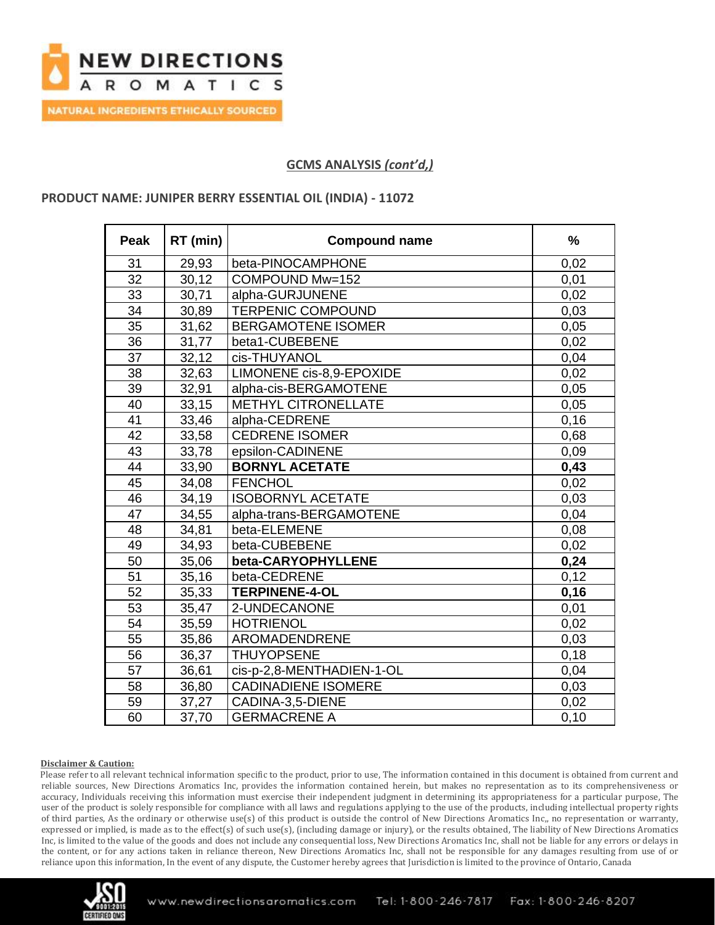

## **PRODUCT NAME: JUNIPER BERRY ESSENTIAL OIL (INDIA) - 11072**

| <b>Peak</b>     | RT (min) | <b>Compound name</b>       | $\frac{0}{0}$ |
|-----------------|----------|----------------------------|---------------|
| 31              | 29,93    | beta-PINOCAMPHONE          | 0,02          |
| 32              | 30,12    | COMPOUND Mw=152            | 0,01          |
| 33              | 30,71    | alpha-GURJUNENE            | 0,02          |
| 34              | 30,89    | <b>TERPENIC COMPOUND</b>   | 0,03          |
| 35              | 31,62    | <b>BERGAMOTENE ISOMER</b>  | 0,05          |
| 36              | 31,77    | beta1-CUBEBENE             | 0,02          |
| 37              | 32,12    | cis-THUYANOL               | 0,04          |
| 38              | 32,63    | LIMONENE cis-8,9-EPOXIDE   | 0,02          |
| 39              | 32,91    | alpha-cis-BERGAMOTENE      | 0,05          |
| 40              | 33,15    | <b>METHYL CITRONELLATE</b> | 0,05          |
| 41              | 33,46    | alpha-CEDRENE              | 0, 16         |
| 42              | 33,58    | <b>CEDRENE ISOMER</b>      | 0,68          |
| 43              | 33,78    | epsilon-CADINENE           | 0,09          |
| 44              | 33,90    | <b>BORNYL ACETATE</b>      | 0,43          |
| 45              | 34,08    | <b>FENCHOL</b>             | 0,02          |
| 46              | 34,19    | <b>ISOBORNYL ACETATE</b>   | 0,03          |
| 47              | 34,55    | alpha-trans-BERGAMOTENE    | 0,04          |
| 48              | 34,81    | beta-ELEMENE               | 0,08          |
| 49              | 34,93    | beta-CUBEBENE              | 0,02          |
| 50              | 35,06    | beta-CARYOPHYLLENE         | 0,24          |
| 51              | 35,16    | beta-CEDRENE               | 0,12          |
| 52              | 35,33    | <b>TERPINENE-4-OL</b>      | 0, 16         |
| 53              | 35,47    | 2-UNDECANONE               | 0,01          |
| $\overline{54}$ | 35,59    | <b>HOTRIENOL</b>           | 0,02          |
| 55              | 35,86    | AROMADENDRENE              | 0,03          |
| 56              | 36,37    | <b>THUYOPSENE</b>          | 0,18          |
| 57              | 36,61    | cis-p-2,8-MENTHADIEN-1-OL  | 0,04          |
| 58              | 36,80    | <b>CADINADIENE ISOMERE</b> | 0,03          |
| 59              | 37,27    | CADINA-3,5-DIENE           | 0,02          |
| 60              | 37,70    | <b>GERMACRENE A</b>        | 0, 10         |

### **Disclaimer & Caution:**

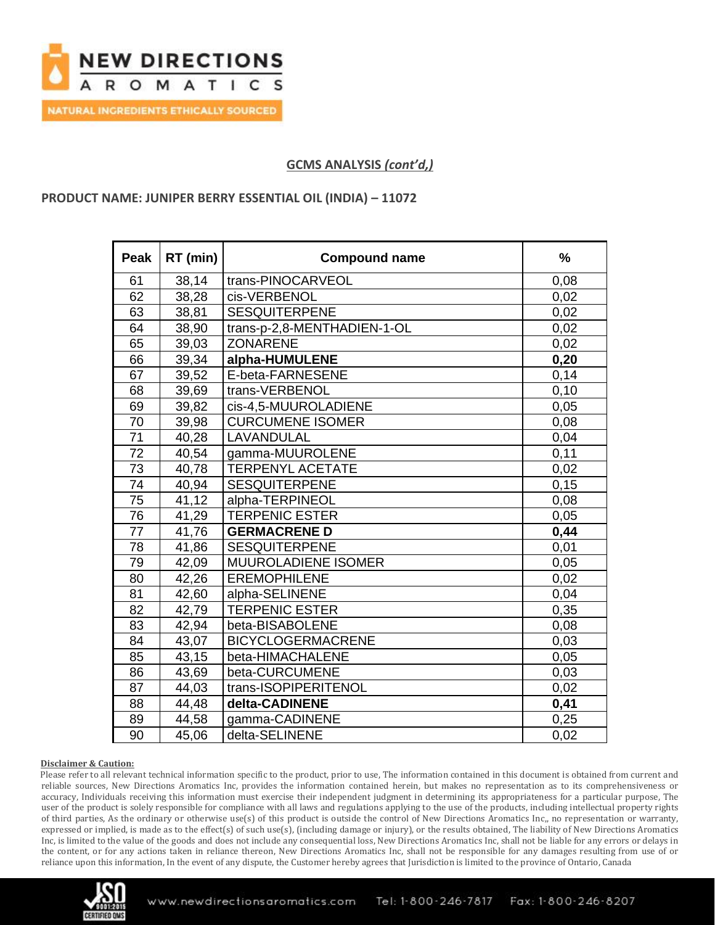

### **PRODUCT NAME: JUNIPER BERRY ESSENTIAL OIL (INDIA) – 11072**

| <b>Peak</b> | RT (min) | <b>Compound name</b>        | $\frac{0}{0}$ |
|-------------|----------|-----------------------------|---------------|
| 61          | 38,14    | trans-PINOCARVEOL           | 0,08          |
| 62          | 38,28    | cis-VERBENOL                | 0,02          |
| 63          | 38,81    | <b>SESQUITERPENE</b>        | 0,02          |
| 64          | 38,90    | trans-p-2,8-MENTHADIEN-1-OL | 0,02          |
| 65          | 39,03    | <b>ZONARENE</b>             | 0,02          |
| 66          | 39,34    | alpha-HUMULENE              | 0,20          |
| 67          | 39,52    | E-beta-FARNESENE            | 0,14          |
| 68          | 39,69    | trans-VERBENOL              | 0,10          |
| 69          | 39,82    | cis-4,5-MUUROLADIENE        | 0,05          |
| 70          | 39,98    | <b>CURCUMENE ISOMER</b>     | 0,08          |
| 71          | 40,28    | LAVANDULAL                  | 0,04          |
| 72          | 40,54    | gamma-MUUROLENE             | 0,11          |
| 73          | 40,78    | <b>TERPENYL ACETATE</b>     | 0,02          |
| 74          | 40,94    | <b>SESQUITERPENE</b>        | 0, 15         |
| 75          | 41,12    | alpha-TERPINEOL             | 0,08          |
| 76          | 41,29    | <b>TERPENIC ESTER</b>       | 0,05          |
| 77          | 41,76    | <b>GERMACRENE D</b>         | 0,44          |
| 78          | 41,86    | <b>SESQUITERPENE</b>        | 0,01          |
| 79          | 42,09    | <b>MUUROLADIENE ISOMER</b>  | 0,05          |
| 80          | 42,26    | <b>EREMOPHILENE</b>         | 0,02          |
| 81          | 42,60    | alpha-SELINENE              | 0,04          |
| 82          | 42,79    | <b>TERPENIC ESTER</b>       | 0,35          |
| 83          | 42,94    | beta-BISABOLENE             | 0,08          |
| 84          | 43,07    | <b>BICYCLOGERMACRENE</b>    | 0,03          |
| 85          | 43,15    | beta-HIMACHALENE            | 0,05          |
| 86          | 43,69    | beta-CURCUMENE              | 0,03          |
| 87          | 44,03    | trans-ISOPIPERITENOL        | 0,02          |
| 88          | 44,48    | delta-CADINENE              | 0,41          |
| 89          | 44,58    | gamma-CADINENE              | 0,25          |
| 90          | 45,06    | delta-SELINENE              | 0,02          |

### **Disclaimer & Caution:**

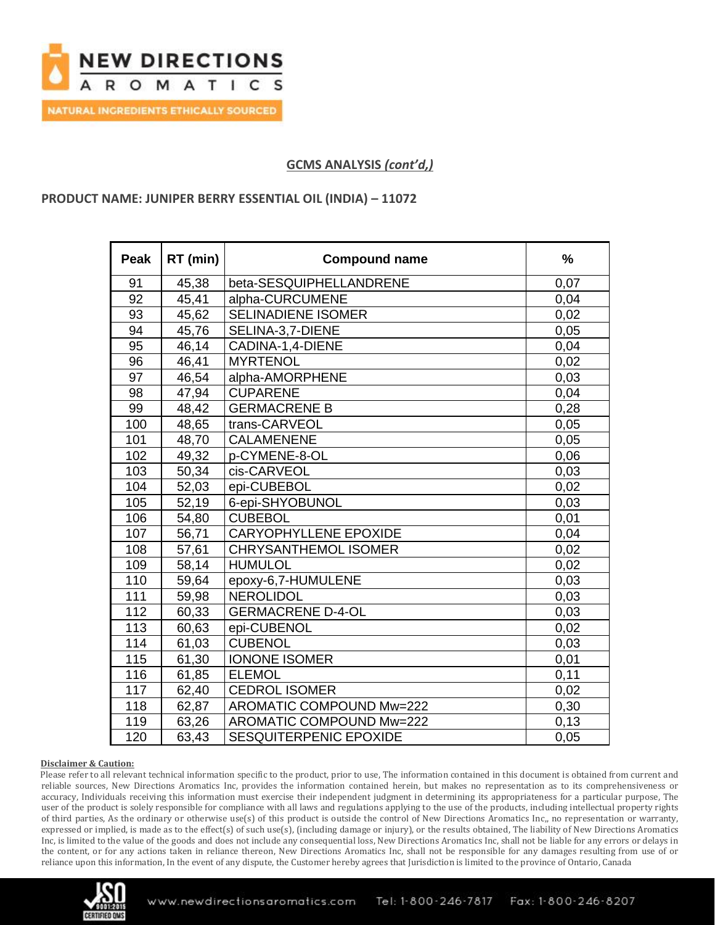

## **PRODUCT NAME: JUNIPER BERRY ESSENTIAL OIL (INDIA) – 11072**

| Peak | RT (min) | <b>Compound name</b>         | $\frac{0}{0}$ |
|------|----------|------------------------------|---------------|
| 91   | 45,38    | beta-SESQUIPHELLANDRENE      | 0,07          |
| 92   | 45,41    | alpha-CURCUMENE              | 0,04          |
| 93   | 45,62    | <b>SELINADIENE ISOMER</b>    | 0,02          |
| 94   | 45,76    | SELINA-3,7-DIENE             | 0,05          |
| 95   | 46,14    | CADINA-1,4-DIENE             | 0,04          |
| 96   | 46,41    | <b>MYRTENOL</b>              | 0,02          |
| 97   | 46,54    | alpha-AMORPHENE              | 0,03          |
| 98   | 47,94    | <b>CUPARENE</b>              | 0,04          |
| 99   | 48,42    | <b>GERMACRENE B</b>          | 0,28          |
| 100  | 48,65    | trans-CARVEOL                | 0.05          |
| 101  | 48,70    | <b>CALAMENENE</b>            | 0,05          |
| 102  | 49,32    | p-CYMENE-8-OL                | 0,06          |
| 103  | 50,34    | cis-CARVEOL                  | 0,03          |
| 104  | 52,03    | epi-CUBEBOL                  | 0,02          |
| 105  | 52,19    | 6-epi-SHYOBUNOL              | 0,03          |
| 106  | 54,80    | <b>CUBEBOL</b>               | 0,01          |
| 107  | 56,71    | <b>CARYOPHYLLENE EPOXIDE</b> | 0,04          |
| 108  | 57,61    | <b>CHRYSANTHEMOL ISOMER</b>  | 0,02          |
| 109  | 58,14    | <b>HUMULOL</b>               | 0,02          |
| 110  | 59,64    | epoxy-6,7-HUMULENE           | 0,03          |
| 111  | 59,98    | <b>NEROLIDOL</b>             | 0,03          |
| 112  | 60,33    | <b>GERMACRENE D-4-OL</b>     | 0,03          |
| 113  | 60,63    | epi-CUBENOL                  | 0,02          |
| 114  | 61,03    | <b>CUBENOL</b>               | 0,03          |
| 115  | 61,30    | <b>IONONE ISOMER</b>         | 0,01          |
| 116  | 61,85    | <b>ELEMOL</b>                | 0,11          |
| 117  | 62,40    | <b>CEDROL ISOMER</b>         | 0,02          |
| 118  | 62,87    | AROMATIC COMPOUND Mw=222     | 0,30          |
| 119  | 63,26    | AROMATIC COMPOUND Mw=222     | 0,13          |
| 120  | 63,43    | SESQUITERPENIC EPOXIDE       | 0,05          |

### **Disclaimer & Caution:**